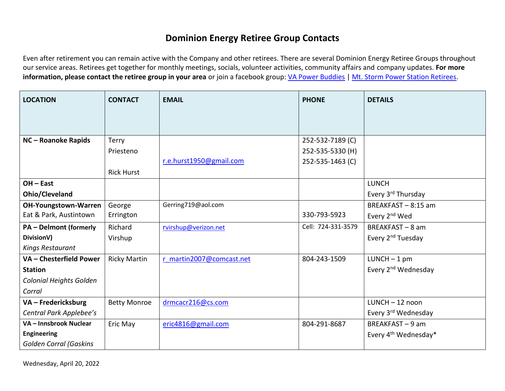## **Dominion Energy Retiree Group Contacts**

Even after retirement you can remain active with the Company and other retirees. There are several Dominion Energy Retiree Groups throughout our service areas. Retirees get together for monthly meetings, socials, volunteer activities, community affairs and company updates. **For more information, please contact the retiree group in your area** or join a facebook group: [VA Power Buddies](https://www.facebook.com/groups/908667942563478/) [| Mt. Storm Power Station Retirees.](https://www.facebook.com/groups/427688167981175/)

| <b>LOCATION</b>               | <b>CONTACT</b>      | <b>EMAIL</b>             | <b>PHONE</b>       | <b>DETAILS</b>                   |
|-------------------------------|---------------------|--------------------------|--------------------|----------------------------------|
|                               |                     |                          |                    |                                  |
|                               |                     |                          |                    |                                  |
| NC-Roanoke Rapids             | Terry               |                          | 252-532-7189 (C)   |                                  |
|                               | Priesteno           |                          | 252-535-5330 (H)   |                                  |
|                               |                     | r.e.hurst1950@gmail.com  | 252-535-1463 (C)   |                                  |
|                               | <b>Rick Hurst</b>   |                          |                    |                                  |
| $OH - East$                   |                     |                          |                    | <b>LUNCH</b>                     |
| Ohio/Cleveland                |                     |                          |                    | Every 3 <sup>rd</sup> Thursday   |
| <b>OH-Youngstown-Warren</b>   | George              | Gerring719@aol.com       |                    | BREAKFAST - 8:15 am              |
| Eat & Park, Austintown        | Errington           |                          | 330-793-5923       | Every 2 <sup>nd</sup> Wed        |
| <b>PA - Delmont (formerly</b> | Richard             | rvirshup@verizon.net     | Cell: 724-331-3579 | BREAKFAST-8 am                   |
| DivisionV)                    | Virshup             |                          |                    | Every 2 <sup>nd</sup> Tuesday    |
| Kings Restaurant              |                     |                          |                    |                                  |
| VA - Chesterfield Power       | <b>Ricky Martin</b> | r martin2007@comcast.net | 804-243-1509       | $LUNCH - 1 pm$                   |
| <b>Station</b>                |                     |                          |                    | Every 2 <sup>nd</sup> Wednesday  |
| Colonial Heights Golden       |                     |                          |                    |                                  |
| Corral                        |                     |                          |                    |                                  |
| VA - Fredericksburg           | <b>Betty Monroe</b> | drmcacr216@cs.com        |                    | $LUNCH - 12$ noon                |
| Central Park Applebee's       |                     |                          |                    | Every 3rd Wednesday              |
| VA - Innsbrook Nuclear        | Eric May            | eric4816@gmail.com       | 804-291-8687       | BREAKFAST - 9 am                 |
| <b>Engineering</b>            |                     |                          |                    | Every 4 <sup>th</sup> Wednesday* |
| <b>Golden Corral (Gaskins</b> |                     |                          |                    |                                  |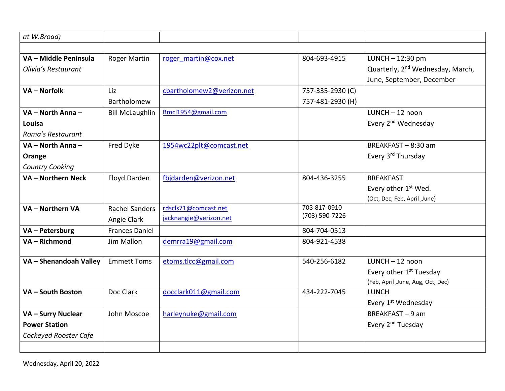| at W.Broad)            |                        |                           |                  |                                              |
|------------------------|------------------------|---------------------------|------------------|----------------------------------------------|
|                        |                        |                           |                  |                                              |
| VA - Middle Peninsula  | <b>Roger Martin</b>    | roger martin@cox.net      | 804-693-4915     | LUNCH-12:30 pm                               |
| Olivia's Restaurant    |                        |                           |                  | Quarterly, 2 <sup>nd</sup> Wednesday, March, |
|                        |                        |                           |                  | June, September, December                    |
| VA - Norfolk           | Liz                    | cbartholomew2@verizon.net | 757-335-2930 (C) |                                              |
|                        | Bartholomew            |                           | 757-481-2930 (H) |                                              |
| VA - North Anna -      | <b>Bill McLaughlin</b> | Bmcl1954@gmail.com        |                  | $LUNCH - 12$ noon                            |
| Louisa                 |                        |                           |                  | Every 2 <sup>nd</sup> Wednesday              |
| Roma's Restaurant      |                        |                           |                  |                                              |
| VA - North Anna -      | Fred Dyke              | 1954wc22plt@comcast.net   |                  | BREAKFAST-8:30 am                            |
| Orange                 |                        |                           |                  | Every 3rd Thursday                           |
| <b>Country Cooking</b> |                        |                           |                  |                                              |
| VA - Northern Neck     | Floyd Darden           | fbjdarden@verizon.net     | 804-436-3255     | <b>BREAKFAST</b>                             |
|                        |                        |                           |                  | Every other 1 <sup>st</sup> Wed.             |
|                        |                        |                           |                  | (Oct, Dec, Feb, April ,June)                 |
| VA - Northern VA       | <b>Rachel Sanders</b>  | rdscls71@comcast.net      | 703-817-0910     |                                              |
|                        | Angie Clark            | jacknangie@verizon.net    | (703) 590-7226   |                                              |
| VA - Petersburg        | <b>Frances Daniel</b>  |                           | 804-704-0513     |                                              |
| VA - Richmond          | Jim Mallon             | demrra19@gmail.com        | 804-921-4538     |                                              |
|                        |                        |                           |                  |                                              |
| VA - Shenandoah Valley | <b>Emmett Toms</b>     | etoms.tlcc@gmail.com      | 540-256-6182     | $LUNCH - 12$ noon                            |
|                        |                        |                           |                  | Every other 1 <sup>st</sup> Tuesday          |
|                        |                        |                           |                  | (Feb, April ,June, Aug, Oct, Dec)            |
| VA - South Boston      | Doc Clark              | docclark011@gmail.com     | 434-222-7045     | <b>LUNCH</b>                                 |
|                        |                        |                           |                  | Every 1st Wednesday                          |
| VA - Surry Nuclear     | John Moscoe            | harleynuke@gmail.com      |                  | BREAKFAST-9 am                               |
| <b>Power Station</b>   |                        |                           |                  | Every 2 <sup>nd</sup> Tuesday                |
| Cockeyed Rooster Cafe  |                        |                           |                  |                                              |
|                        |                        |                           |                  |                                              |